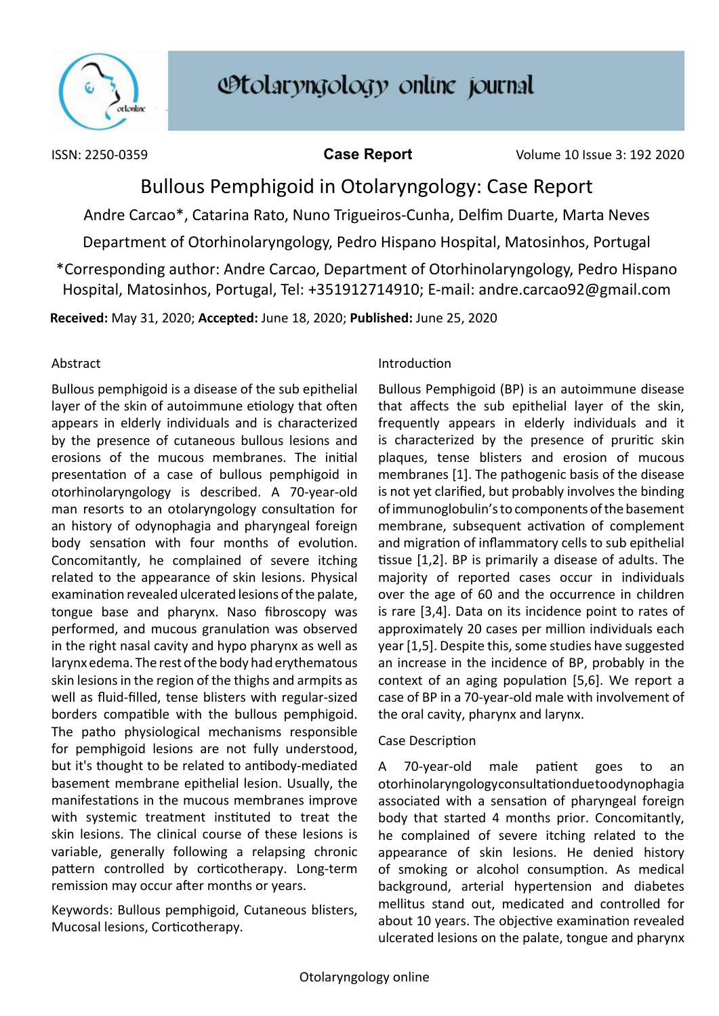

ISSN: 2250-0359 **Case Report** Volume 10 Issue 3: 192 2020

# Bullous Pemphigoid in Otolaryngology: Case Report

Andre Carcao\*, Catarina Rato, Nuno Trigueiros-Cunha, Delfim Duarte, Marta Neves

Department of Otorhinolaryngology, Pedro Hispano Hospital, Matosinhos, Portugal

\*Corresponding author: Andre Carcao, Department of Otorhinolaryngology, Pedro Hispano Hospital, Matosinhos, Portugal, Tel: +351912714910; E-mail: [andre.carcao92@gmail.com](mailto:andre.carcao92@gmail.com)

**Received:** May 31, 2020; **Accepted:** June 18, 2020; **Published:** June 25, 2020

## Abstract

Bullous pemphigoid is a disease of the sub epithelial layer of the skin of autoimmune etiology that often appears in elderly individuals and is characterized by the presence of cutaneous bullous lesions and erosions of the mucous membranes. The initial presentation of a case of bullous pemphigoid in otorhinolaryngology is described. A 70-year-old man resorts to an otolaryngology consultation for an history of odynophagia and pharyngeal foreign body sensation with four months of evolution. Concomitantly, he complained of severe itching related to the appearance of skin lesions. Physical examination revealed ulcerated lesions of the palate, tongue base and pharynx. Naso fibroscopy was performed, and mucous granulation was observed in the right nasal cavity and hypo pharynx as well as larynx edema. The rest of the body had erythematous skin lesions in the region of the thighs and armpits as well as fluid-filled, tense blisters with regular-sized borders compatible with the bullous pemphigoid. The patho physiological mechanisms responsible for pemphigoid lesions are not fully understood, but it's thought to be related to antibody-mediated basement membrane epithelial lesion. Usually, the manifestations in the mucous membranes improve with systemic treatment instituted to treat the skin lesions. The clinical course of these lesions is variable, generally following a relapsing chronic pattern controlled by corticotherapy. Long-term remission may occur after months or years.

Keywords: Bullous pemphigoid, Cutaneous blisters, Mucosal lesions, Corticotherapy.

## Introduction

Bullous Pemphigoid (BP) is an autoimmune disease that affects the sub epithelial layer of the skin, frequently appears in elderly individuals and it is characterized by the presence of pruritic skin plaques, tense blisters and erosion of mucous membranes [1]. The pathogenic basis of the disease is not yet clarified, but probably involves the binding of immunoglobulin's to components of the basement membrane, subsequent activation of complement and migration of inflammatory cells to sub epithelial tissue [1,2]. BP is primarily a disease of adults. The majority of reported cases occur in individuals over the age of 60 and the occurrence in children is rare [3,4]. Data on its incidence point to rates of approximately 20 cases per million individuals each year [1,5]. Despite this, some studies have suggested an increase in the incidence of BP, probably in the context of an aging population [5,6]. We report a case of BP in a 70-year-old male with involvement of the oral cavity, pharynx and larynx.

## Case Description

A 70-year-old male patient goes to an otorhinolaryngology consultation due to odynophagia associated with a sensation of pharyngeal foreign body that started 4 months prior. Concomitantly, he complained of severe itching related to the appearance of skin lesions. He denied history of smoking or alcohol consumption. As medical background, arterial hypertension and diabetes mellitus stand out, medicated and controlled for about 10 years. The objective examination revealed ulcerated lesions on the palate, tongue and pharynx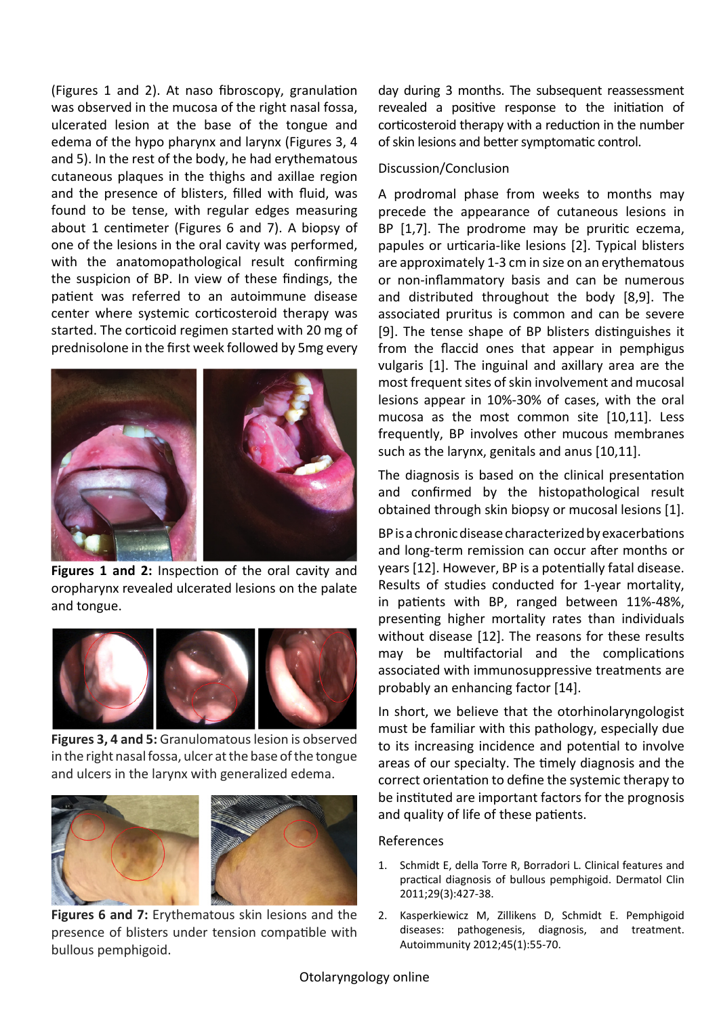(Figures 1 and 2). At naso fibroscopy, granulation was observed in the mucosa of the right nasal fossa, ulcerated lesion at the base of the tongue and edema of the hypo pharynx and larynx (Figures 3, 4 and 5). In the rest of the body, he had erythematous cutaneous plaques in the thighs and axillae region and the presence of blisters, filled with fluid, was found to be tense, with regular edges measuring about 1 centimeter (Figures 6 and 7). A biopsy of one of the lesions in the oral cavity was performed, with the anatomopathological result confirming the suspicion of BP. In view of these findings, the patient was referred to an autoimmune disease center where systemic corticosteroid therapy was started. The corticoid regimen started with 20 mg of prednisolone in the first week followed by 5mg every



**Figures 1 and 2:** Inspection of the oral cavity and oropharynx revealed ulcerated lesions on the palate and tongue.



**Figures 3, 4 and 5:** Granulomatous lesion is observed in the right nasal fossa, ulcer at the base of the tongue and ulcers in the larynx with generalized edema.



**Figures 6 and 7:** Erythematous skin lesions and the presence of blisters under tension compatible with bullous pemphigoid.

day during 3 months. The subsequent reassessment revealed a positive response to the initiation of corticosteroid therapy with a reduction in the number of skin lesions and better symptomatic control.

#### Discussion/Conclusion

A prodromal phase from weeks to months may precede the appearance of cutaneous lesions in BP [1,7]. The prodrome may be pruritic eczema, papules or urticaria-like lesions [2]. Typical blisters are approximately 1-3 cm in size on an erythematous or non-inflammatory basis and can be numerous and distributed throughout the body [8,9]. The associated pruritus is common and can be severe [9]. The tense shape of BP blisters distinguishes it from the flaccid ones that appear in pemphigus vulgaris [1]. The inguinal and axillary area are the most frequent sites of skin involvement and mucosal lesions appear in 10%-30% of cases, with the oral mucosa as the most common site [10,11]. Less frequently, BP involves other mucous membranes such as the larynx, genitals and anus [10,11].

The diagnosis is based on the clinical presentation and confirmed by the histopathological result obtained through skin biopsy or mucosal lesions [1].

BP is a chronic disease characterized by exacerbations and long-term remission can occur after months or years [12]. However, BP is a potentially fatal disease. Results of studies conducted for 1-year mortality, in patients with BP, ranged between 11%-48%, presenting higher mortality rates than individuals without disease [12]. The reasons for these results may be multifactorial and the complications associated with immunosuppressive treatments are probably an enhancing factor [14].

In short, we believe that the otorhinolaryngologist must be familiar with this pathology, especially due to its increasing incidence and potential to involve areas of our specialty. The timely diagnosis and the correct orientation to define the systemic therapy to be instituted are important factors for the prognosis and quality of life of these patients.

#### References

- 1. Schmidt E, della Torre R, Borradori L. Clinical features and practical diagnosis of bullous pemphigoid. Dermatol Clin 2011;29(3):427-38.
- 2. Kasperkiewicz M, Zillikens D, Schmidt E. Pemphigoid diseases: pathogenesis, diagnosis, and treatment. Autoimmunity 2012;45(1):55-70.